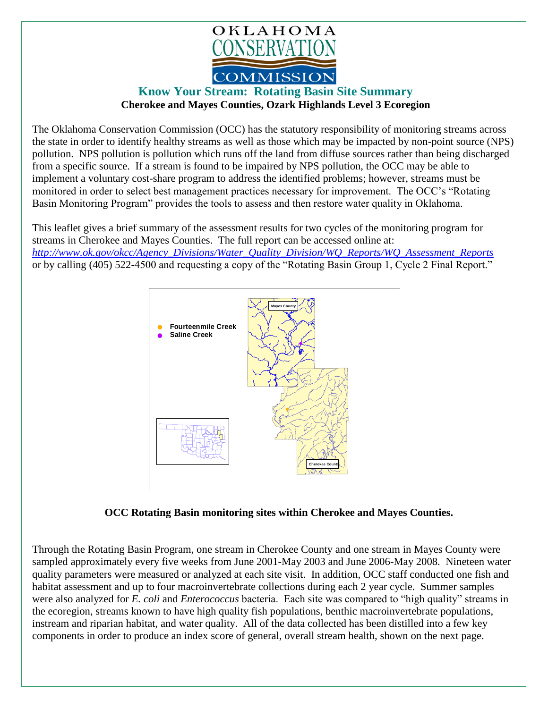

## **Know Your Stream: Rotating Basin Site Summary Cherokee and Mayes Counties, Ozark Highlands Level 3 Ecoregion**

The Oklahoma Conservation Commission (OCC) has the statutory responsibility of monitoring streams across the state in order to identify healthy streams as well as those which may be impacted by non-point source (NPS) pollution. NPS pollution is pollution which runs off the land from diffuse sources rather than being discharged from a specific source. If a stream is found to be impaired by NPS pollution, the OCC may be able to implement a voluntary cost-share program to address the identified problems; however, streams must be monitored in order to select best management practices necessary for improvement. The OCC's "Rotating Basin Monitoring Program" provides the tools to assess and then restore water quality in Oklahoma.

This leaflet gives a brief summary of the assessment results for two cycles of the monitoring program for streams in Cherokee and Mayes Counties. The full report can be accessed online at: *[http://www.ok.gov/okcc/Agency\\_Divisions/Water\\_Quality\\_Division/WQ\\_Reports/WQ\\_Assessment\\_Reports](http://www.ok.gov/okcc/Agency_Divisions/Water_Quality_Division/WQ_Reports/WQ_Assessment_Reports)* or by calling (405) 522-4500 and requesting a copy of the "Rotating Basin Group 1, Cycle 2 Final Report."



 **OCC Rotating Basin monitoring sites within Cherokee and Mayes Counties.**

Through the Rotating Basin Program, one stream in Cherokee County and one stream in Mayes County were sampled approximately every five weeks from June 2001-May 2003 and June 2006-May 2008. Nineteen water quality parameters were measured or analyzed at each site visit. In addition, OCC staff conducted one fish and habitat assessment and up to four macroinvertebrate collections during each 2 year cycle. Summer samples were also analyzed for *E. coli* and *Enterococcus* bacteria. Each site was compared to "high quality" streams in the ecoregion, streams known to have high quality fish populations, benthic macroinvertebrate populations, instream and riparian habitat, and water quality. All of the data collected has been distilled into a few key components in order to produce an index score of general, overall stream health, shown on the next page.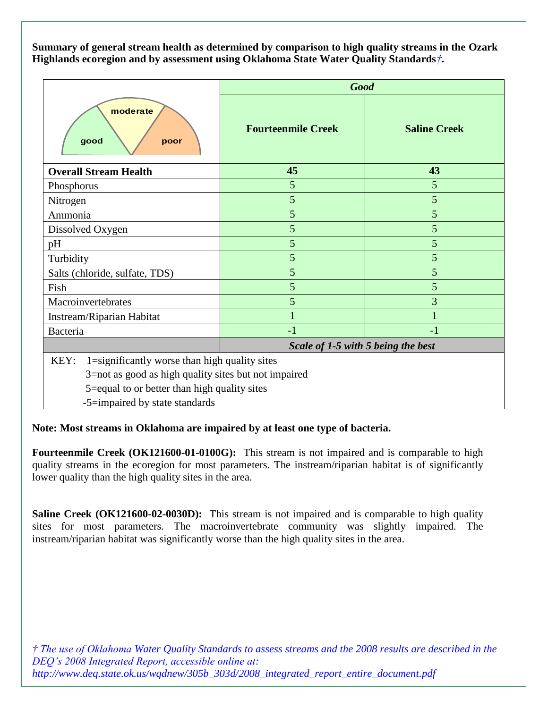**Summary of general stream health as determined by comparison to high quality streams in the Ozark Highlands ecoregion and by assessment using Oklahoma State Water Quality Standards***†***.**

|                                                       | <b>Good</b>                        |                     |
|-------------------------------------------------------|------------------------------------|---------------------|
| moderate<br>good<br>poor                              | <b>Fourteenmile Creek</b>          | <b>Saline Creek</b> |
| <b>Overall Stream Health</b>                          | 45                                 | 43                  |
| Phosphorus                                            | 5                                  | 5                   |
| Nitrogen                                              | 5                                  | 5                   |
| Ammonia                                               | 5                                  | 5                   |
| Dissolved Oxygen                                      | 5                                  | 5                   |
| pH                                                    | 5                                  | 5                   |
| Turbidity                                             | 5                                  | 5                   |
| Salts (chloride, sulfate, TDS)                        | 5                                  | 5                   |
| Fish                                                  | 5                                  | 5                   |
| Macroinvertebrates                                    | 5                                  | 3                   |
| Instream/Riparian Habitat                             |                                    |                     |
| Bacteria                                              | $-1$                               | $-1$                |
|                                                       | Scale of 1-5 with 5 being the best |                     |
| 1=significantly worse than high quality sites<br>KEY: |                                    |                     |
| 3=not as good as high quality sites but not impaired  |                                    |                     |

5=equal to or better than high quality sites

-5=impaired by state standards

**Note: Most streams in Oklahoma are impaired by at least one type of bacteria.**

**Fourteenmile Creek (OK121600-01-0100G):** This stream is not impaired and is comparable to high quality streams in the ecoregion for most parameters. The instream/riparian habitat is of significantly lower quality than the high quality sites in the area.

**Saline Creek (OK121600-02-0030D):** This stream is not impaired and is comparable to high quality sites for most parameters. The macroinvertebrate community was slightly impaired. The instream/riparian habitat was significantly worse than the high quality sites in the area.

*† The use of Oklahoma Water Quality Standards to assess streams and the 2008 results are described in the DEQ's 2008 Integrated Report, accessible online at: http://www.deq.state.ok.us/wqdnew/305b\_303d/2008\_integrated\_report\_entire\_document.pdf*